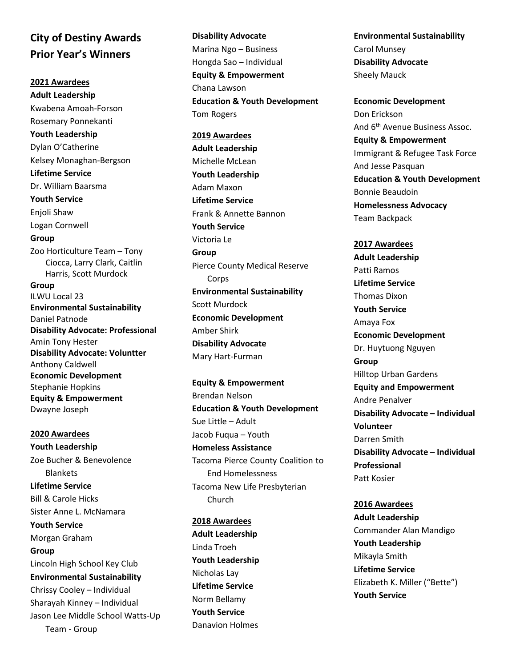## **City of Destiny Awards Prior Year's Winners**

**2021 Awardees Adult Leadership** Kwabena Amoah-Forson Rosemary Ponnekanti **Youth Leadership** Dylan O'Catherine Kelsey Monaghan-Bergson **Lifetime Service** Dr. William Baarsma **Youth Service** Enjoli Shaw Logan Cornwell **Group** Zoo Horticulture Team – Tony Ciocca, Larry Clark, Caitlin Harris, Scott Murdock **Group** ILWU Local 23 **Environmental Sustainability** Daniel Patnode **Disability Advocate: Professional** Amin Tony Hester **Disability Advocate: Voluntter** Anthony Caldwell **Economic Development** Stephanie Hopkins **Equity & Empowerment** Dwayne Joseph

**2020 Awardees Youth Leadership** Zoe Bucher & Benevolence Blankets **Lifetime Service** Bill & Carole Hicks Sister Anne L. McNamara **Youth Service** Morgan Graham **Group** Lincoln High School Key Club **Environmental Sustainability** Chrissy Cooley – Individual Sharayah Kinney – Individual Jason Lee Middle School Watts-Up Team - Group

**Disability Advocate** Marina Ngo – Business Hongda Sao – Individual **Equity & Empowerment** Chana Lawson **Education & Youth Development** Tom Rogers

**2019 Awardees Adult Leadership** Michelle McLean **Youth Leadership** Adam Maxon **Lifetime Service** Frank & Annette Bannon **Youth Service** Victoria Le **Group** Pierce County Medical Reserve Corps **Environmental Sustainability** Scott Murdock **Economic Development** Amber Shirk **Disability Advocate** Mary Hart-Furman

**Equity & Empowerment** Brendan Nelson **Education & Youth Development** Sue Little – Adult Jacob Fuqua – Youth **Homeless Assistance** Tacoma Pierce County Coalition to End Homelessness Tacoma New Life Presbyterian Church

**2018 Awardees Adult Leadership** Linda Troeh **Youth Leadership** Nicholas Lay **Lifetime Service** Norm Bellamy **Youth Service** Danavion Holmes

**Environmental Sustainability** Carol Munsey **Disability Advocate** Sheely Mauck

**Economic Development** Don Erickson And 6th Avenue Business Assoc. **Equity & Empowerment** Immigrant & Refugee Task Force And Jesse Pasquan **Education & Youth Development** Bonnie Beaudoin **Homelessness Advocacy** Team Backpack

**2017 Awardees Adult Leadership** Patti Ramos **Lifetime Service** Thomas Dixon **Youth Service** Amaya Fox **Economic Development** Dr. Huytuong Nguyen **Group** Hilltop Urban Gardens **Equity and Empowerment** Andre Penalver **Disability Advocate – Individual Volunteer** Darren Smith **Disability Advocate – Individual Professional** Patt Kosier

**2016 Awardees Adult Leadership** Commander Alan Mandigo **Youth Leadership** Mikayla Smith **Lifetime Service**  Elizabeth K. Miller ("Bette") **Youth Service**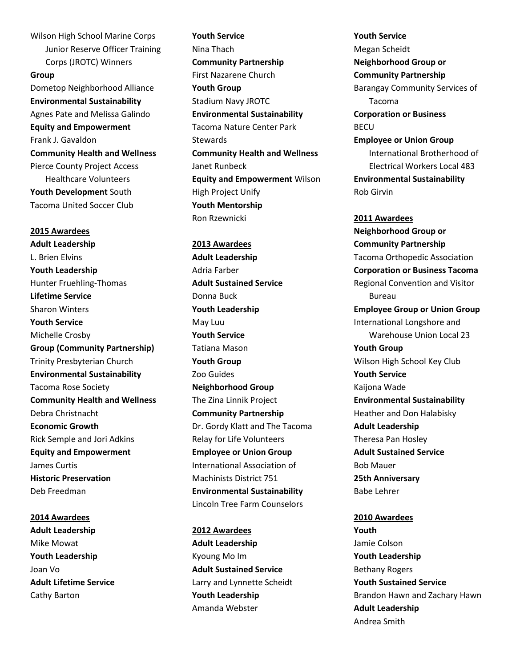Wilson High School Marine Corps Junior Reserve Officer Training Corps (JROTC) Winners

**Group** Dometop Neighborhood Alliance **Environmental Sustainability**  Agnes Pate and Melissa Galindo **Equity and Empowerment**  Frank J. Gavaldon **Community Health and Wellness** Pierce County Project Access Healthcare Volunteers **Youth Development** South Tacoma United Soccer Club

**2015 Awardees Adult Leadership**  L. Brien Elvins **Youth Leadership**  Hunter Fruehling-Thomas **Lifetime Service**  Sharon Winters **Youth Service**  Michelle Crosby **Group (Community Partnership)**  Trinity Presbyterian Church **Environmental Sustainability**  Tacoma Rose Society **Community Health and Wellness**  Debra Christnacht **Economic Growth**  Rick Semple and Jori Adkins **Equity and Empowerment** James Curtis **Historic Preservation**  Deb Freedman

**2014 Awardees Adult Leadership**  Mike Mowat **Youth Leadership**  Joan Vo **Adult Lifetime Service**  Cathy Barton

**Youth Service**  Nina Thach **Community Partnership**  First Nazarene Church **Youth Group**  Stadium Navy JROTC **Environmental Sustainability**  Tacoma Nature Center Park **Stewards Community Health and Wellness**  Janet Runbeck **Equity and Empowerment** Wilson High Project Unify **Youth Mentorship**  Ron Rzewnicki

**2013 Awardees Adult Leadership**  Adria Farber **Adult Sustained Service**  Donna Buck **Youth Leadership**  May Luu **Youth Service**  Tatiana Mason **Youth Group**  Zoo Guides **Neighborhood Group**  The Zina Linnik Project **Community Partnership**  Dr. Gordy Klatt and The Tacoma Relay for Life Volunteers **Employee or Union Group**  International Association of Machinists District 751 **Environmental Sustainability**  Lincoln Tree Farm Counselors

**2012 Awardees Adult Leadership**  Kyoung Mo Im **Adult Sustained Service**  Larry and Lynnette Scheidt **Youth Leadership** Amanda Webster

**Youth Service**  Megan Scheidt **Neighborhood Group or Community Partnership**  Barangay Community Services of Tacoma **Corporation or Business**  BECU **Employee or Union Group**  International Brotherhood of Electrical Workers Local 483 **Environmental Sustainability**  Rob Girvin

**2011 Awardees Neighborhood Group or Community Partnership** Tacoma Orthopedic Association **Corporation or Business Tacoma** Regional Convention and Visitor Bureau **Employee Group or Union Group** International Longshore and Warehouse Union Local 23 **Youth Group** Wilson High School Key Club **Youth Service**  Kaijona Wade **Environmental Sustainability**  Heather and Don Halabisky **Adult Leadership**  Theresa Pan Hosley **Adult Sustained Service**  Bob Mauer **25th Anniversary**  Babe Lehrer

**2010 Awardees Youth**  Jamie Colson **Youth Leadership**  Bethany Rogers **Youth Sustained Service**  Brandon Hawn and Zachary Hawn **Adult Leadership**  Andrea Smith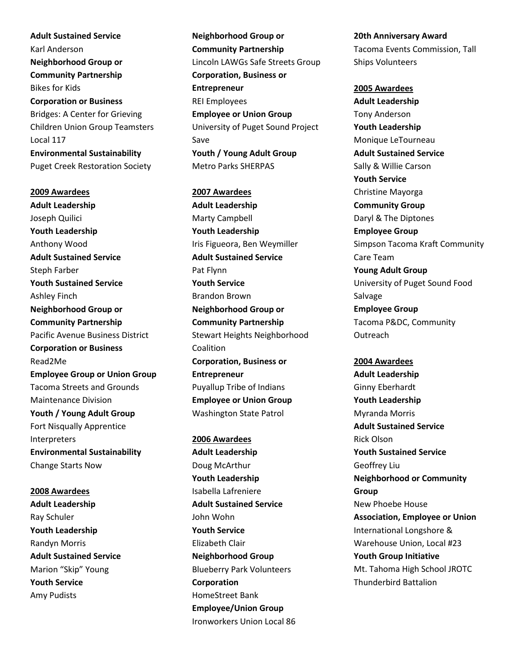**Adult Sustained Service**  Karl Anderson **Neighborhood Group or Community Partnership**  Bikes for Kids **Corporation or Business**  Bridges: A Center for Grieving Children Union Group Teamsters Local 117 **Environmental Sustainability** Puget Creek Restoration Society

**2009 Awardees Adult Leadership**  Joseph Quilici **Youth Leadership**  Anthony Wood **Adult Sustained Service**  Steph Farber **Youth Sustained Service**  Ashley Finch **Neighborhood Group or Community Partnership**  Pacific Avenue Business District **Corporation or Business**  Read2Me **Employee Group or Union Group** Tacoma Streets and Grounds Maintenance Division **Youth / Young Adult Group**  Fort Nisqually Apprentice Interpreters **Environmental Sustainability**  Change Starts Now

**2008 Awardees Adult Leadership**  Ray Schuler **Youth Leadership**  Randyn Morris **Adult Sustained Service**  Marion "Skip" Young **Youth Service**  Amy Pudists

**Neighborhood Group or Community Partnership**  Lincoln LAWGs Safe Streets Group **Corporation, Business or Entrepreneur**  REI Employees **Employee or Union Group**  University of Puget Sound Project Save **Youth / Young Adult Group**  Metro Parks SHERPAS

**2007 Awardees Adult Leadership**  Marty Campbell **Youth Leadership**  Iris Figueora, Ben Weymiller **Adult Sustained Service**  Pat Flynn **Youth Service**  Brandon Brown **Neighborhood Group or Community Partnership**  Stewart Heights Neighborhood Coalition **Corporation, Business or Entrepreneur**  Puyallup Tribe of Indians **Employee or Union Group**  Washington State Patrol

**2006 Awardees Adult Leadership**  Doug McArthur **Youth Leadership**  Isabella Lafreniere **Adult Sustained Service** John Wohn **Youth Service**  Elizabeth Clair **Neighborhood Group**  Blueberry Park Volunteers **Corporation**  HomeStreet Bank **Employee/Union Group**  Ironworkers Union Local 86 **20th Anniversary Award**  Tacoma Events Commission, Tall Ships Volunteers

**2005 Awardees Adult Leadership**  Tony Anderson **Youth Leadership**  Monique LeTourneau **Adult Sustained Service**  Sally & Willie Carson **Youth Service**  Christine Mayorga **Community Group**  Daryl & The Diptones **Employee Group**  Simpson Tacoma Kraft Community Care Team **Young Adult Group**  University of Puget Sound Food Salvage **Employee Group**  Tacoma P&DC, Community **Outreach** 

**2004 Awardees Adult Leadership**  Ginny Eberhardt **Youth Leadership**  Myranda Morris **Adult Sustained Service**  Rick Olson **Youth Sustained Service**  Geoffrey Liu **Neighborhood or Community Group**  New Phoebe House **Association, Employee or Union** International Longshore & Warehouse Union, Local #23 **Youth Group Initiative**  Mt. Tahoma High School JROTC Thunderbird Battalion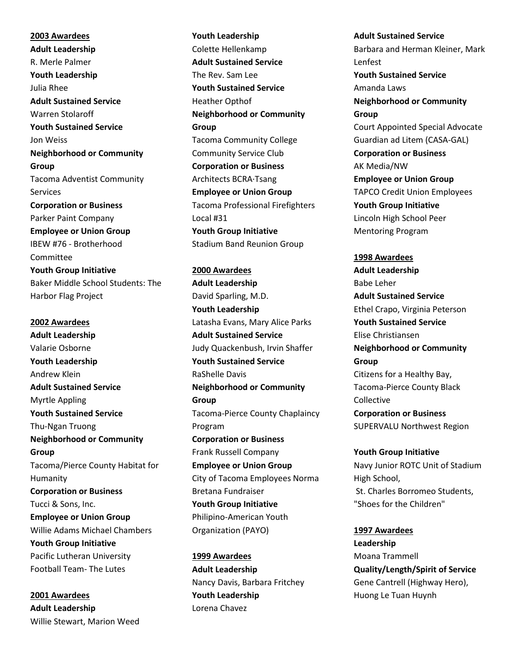**2003 Awardees Adult Leadership**  R. Merle Palmer **Youth Leadership**  Julia Rhee **Adult Sustained Service** Warren Stolaroff **Youth Sustained Service** Jon Weiss **Neighborhood or Community Group** Tacoma Adventist Community Services **Corporation or Business**  Parker Paint Company **Employee or Union Group**  IBEW #76 - Brotherhood Committee **Youth Group Initiative**  Baker Middle School Students: The Harbor Flag Project

**2002 Awardees Adult Leadership**  Valarie Osborne **Youth Leadership**  Andrew Klein **Adult Sustained Service**  Myrtle Appling **Youth Sustained Service**  Thu-Ngan Truong **Neighborhood or Community Group**  Tacoma/Pierce County Habitat for Humanity **Corporation or Business**  Tucci & Sons, Inc. **Employee or Union Group**  Willie Adams Michael Chambers **Youth Group Initiative**  Pacific Lutheran University Football Team- The Lutes

**2001 Awardees Adult Leadership**  Willie Stewart, Marion Weed **Youth Leadership**  Colette Hellenkamp **Adult Sustained Service**  The Rev. Sam Lee **Youth Sustained Service**  Heather Opthof **Neighborhood or Community Group**  Tacoma Community College Community Service Club **Corporation or Business**  Architects BCRA·Tsang **Employee or Union Group**  Tacoma Professional Firefighters Local #31 **Youth Group Initiative**  Stadium Band Reunion Group

**2000 Awardees Adult Leadership**  David Sparling, M.D. **Youth Leadership**  Latasha Evans, Mary Alice Parks **Adult Sustained Service** Judy Quackenbush, Irvin Shaffer **Youth Sustained Service** RaShelle Davis **Neighborhood or Community Group**  Tacoma-Pierce County Chaplaincy Program **Corporation or Business**  Frank Russell Company **Employee or Union Group**  City of Tacoma Employees Norma Bretana Fundraiser **Youth Group Initiative**  Philipino-American Youth Organization (PAYO)

**1999 Awardees Adult Leadership**  Nancy Davis, Barbara Fritchey **Youth Leadership** Lorena Chavez

**Adult Sustained Service**  Barbara and Herman Kleiner, Mark Lenfest **Youth Sustained Service**  Amanda Laws **Neighborhood or Community Group**  Court Appointed Special Advocate Guardian ad Litem (CASA-GAL) **Corporation or Business**  AK Media/NW **Employee or Union Group**  TAPCO Credit Union Employees **Youth Group Initiative**  Lincoln High School Peer Mentoring Program

**1998 Awardees Adult Leadership**  Babe Leher **Adult Sustained Service**  Ethel Crapo, Virginia Peterson **Youth Sustained Service**  Elise Christiansen **Neighborhood or Community Group**  Citizens for a Healthy Bay, Tacoma-Pierce County Black Collective **Corporation or Business** SUPERVALU Northwest Region

**Youth Group Initiative**  Navy Junior ROTC Unit of Stadium High School, St. Charles Borromeo Students, "Shoes for the Children"

**1997 Awardees Leadership**  Moana Trammell **Quality/Length/Spirit of Service** Gene Cantrell (Highway Hero), Huong Le Tuan Huynh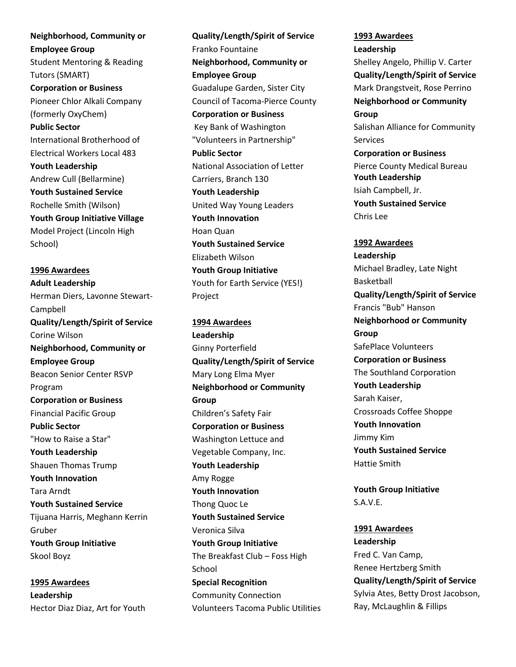**Neighborhood, Community or Employee Group**  Student Mentoring & Reading Tutors (SMART) **Corporation or Business**  Pioneer Chlor Alkali Company (formerly OxyChem) **Public Sector**  International Brotherhood of Electrical Workers Local 483 **Youth Leadership**  Andrew Cull (Bellarmine) **Youth Sustained Service**  Rochelle Smith (Wilson) **Youth Group Initiative Village** Model Project (Lincoln High School)

**1996 Awardees Adult Leadership**  Herman Diers, Lavonne Stewart-Campbell **Quality/Length/Spirit of Service** Corine Wilson **Neighborhood, Community or Employee Group**  Beacon Senior Center RSVP Program **Corporation or Business**  Financial Pacific Group **Public Sector**  "How to Raise a Star" **Youth Leadership**  Shauen Thomas Trump **Youth Innovation**  Tara Arndt **Youth Sustained Service**  Tijuana Harris, Meghann Kerrin Gruber **Youth Group Initiative**  Skool Boyz

**1995 Awardees Leadership**  Hector Diaz Diaz, Art for Youth

**Quality/Length/Spirit of Service** Franko Fountaine **Neighborhood, Community or Employee Group**  Guadalupe Garden, Sister City Council of Tacoma-Pierce County **Corporation or Business** Key Bank of Washington "Volunteers in Partnership" **Public Sector** National Association of Letter Carriers, Branch 130 **Youth Leadership**  United Way Young Leaders **Youth Innovation**  Hoan Quan **Youth Sustained Service**  Elizabeth Wilson **Youth Group Initiative**  Youth for Earth Service (YES!) Project

**1994 Awardees Leadership**  Ginny Porterfield **Quality/Length/Spirit of Service** Mary Long Elma Myer **Neighborhood or Community Group**  Children's Safety Fair **Corporation or Business** Washington Lettuce and Vegetable Company, Inc. **Youth Leadership**  Amy Rogge **Youth Innovation**  Thong Quoc Le **Youth Sustained Service**  Veronica Silva **Youth Group Initiative** The Breakfast Club – Foss High **School Special Recognition**  Community Connection Volunteers Tacoma Public Utilities

**1993 Awardees Leadership**  Shelley Angelo, Phillip V. Carter **Quality/Length/Spirit of Service** Mark Drangstveit, Rose Perrino **Neighborhood or Community Group**  Salishan Alliance for Community Services **Corporation or Business**  Pierce County Medical Bureau **Youth Leadership**  Isiah Campbell, Jr. **Youth Sustained Service**  Chris Lee

**1992 Awardees Leadership**  Michael Bradley, Late Night Basketball **Quality/Length/Spirit of Service** Francis "Bub" Hanson **Neighborhood or Community Group**  SafePlace Volunteers **Corporation or Business**  The Southland Corporation **Youth Leadership**  Sarah Kaiser, Crossroads Coffee Shoppe **Youth Innovation**  Jimmy Kim **Youth Sustained Service** Hattie Smith

**Youth Group Initiative**  S.A.V.E.

**1991 Awardees Leadership**  Fred C. Van Camp, Renee Hertzberg Smith **Quality/Length/Spirit of Service** Sylvia Ates, Betty Drost Jacobson, Ray, McLaughlin & Fillips